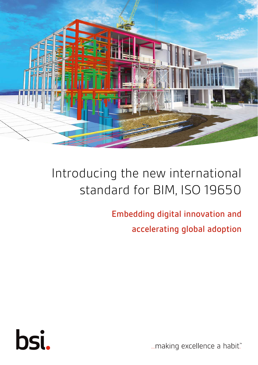

# Introducing the new international standard for BIM, ISO 19650

**Embedding digital innovation and** accelerating global adoption



... making excellence a habit."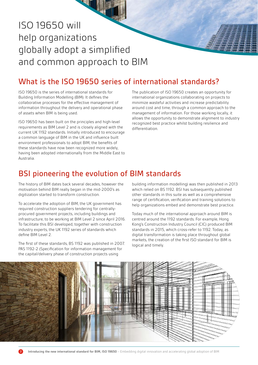## ISO 19650 will help organizations globally adopt a simplified and common approach to BIM

91

### What is the ISO 19650 series of international standards?

ISO 19650 is the series of international standards for Building Information Modelling (BIM). It defines the collaborative processes for the effective management of information throughout the delivery and operational phase of assets when BIM is being used.

ISO 19650 has been built on the principles and high-level requirements as BIM Level 2 and is closely aligned with the current UK 1192 standards. Initially introduced to encourage a common language of BIM in the UK and influence built environment professionals to adopt BIM, the benefits of these standards have now been recognized more widely, having been adopted internationally from the Middle East to Australia.

The publication of ISO 19650 creates an opportunity for international organizations collaborating on projects to minimize wasteful activities and increase predictability around cost and time, through a common approach to the management of information. For those working locally, it allows the opportunity to demonstrate alignment to industry recognized best practice whilst building resilience and differentiation.

#### BSI pioneering the evolution of BIM standards

The history of BIM dates back several decades, however the motivation behind BIM really began in the mid-2000's as digitization started to transform construction.

To accelerate the adoption of BIM, the UK government has required construction suppliers tendering for centrallyprocured government projects, including buildings and infrastructure, to be working at BIM Level 2 since April 2016. To facilitate this BSI developed, together with construction industry experts, the UK 1192 series of standards which define BIM Level 2.

The first of these standards, BS 1192 was published in 2007. PAS 1192-2 (Specification for information management for the capital/delivery phase of construction projects using

building information modelling) was then published in 2013 which relied on BS 1192. BSI has subsequently published other standards in this suite as well as a comprehensive range of certification, verification and training solutions to help organizations embed and demonstrate best practice.

Today much of the international approach around BIM is centred around the 1192 standards. For example, Hong Kong's Construction Industry Council (CIC) produced BIM standards in 2015, which cross-refer to 1192. Today, as digital transformation is taking place throughout global markets, the creation of the first ISO standard for BIM is logical and timely.

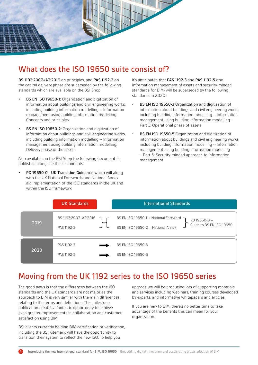

### What does the ISO 19650 suite consist of?

BS 1192:2007+A2:2016 on principles, and PAS 1192-2 on the capital delivery phase are superseded by the following standards which are available on the BSI Shop:

- BS EN ISO 19650-1: Organization and digitization of information about buildings and civil engineering works, including building information modelling -- Information management using building information modelling: Concepts and principles
- BS EN ISO 19650-2: Organization and digitization of information about buildings and civil engineering works, including building information modelling -- Information management using building information modelling: Delivery phase of the assets

Also available on the BSI Shop the following document is published alongside these standards:

PD 19650-0 - UK Transition Guidance, which will along with the UK National Forewords and National Annex aid implementation of the ISO standards in the UK and within the ISO framework

It's anticipated that PAS 1192-3 and PAS 1192-5 (the information management of assets and security-minded standards for BIM) will be superseded by the following standards in 2020:

- BS EN ISO 19650-3 Organization and digitization of information about buildings and civil engineering works, including building information modelling -- Information management using building information modelling – Part 3: Operational phase of assets
- **BS EN ISO 19650-5** Organization and digitization of information about buildings and civil engineering works, including building information modelling -- Information management using building information modelling – Part 5: Security-minded approach to information management

|      | <b>UK Standards</b>                | <b>International Standards</b>                                                                                                        |
|------|------------------------------------|---------------------------------------------------------------------------------------------------------------------------------------|
| 2019 | BS 1192:2007+A2:2016<br>PAS 1192-2 | BS EN ISO 19650-1 + National Foreword $\rightarrow$<br>PD 19650-0 +<br>Guide to BS EN ISO 19650<br>BS EN ISO 19650-2 + National Annex |
| 2020 | PAS 1192-3<br>PAS 1192-5           | BS EN ISO 19650-3<br>BS EN ISO 19650-5                                                                                                |

#### Moving from the UK 1192 series to the ISO 19650 series

The good news is that the differences between the ISO standards and the UK standards are not major as the approach to BIM is very similar with the main differences relating to the terms and definitions. This milestone publication creates a fantastic opportunity to achieve even greater improvements in collaboration and customer satisfaction using BIM.

BSI clients currently holding BIM certification or verification, including the BSI Kitemark, will have the opportunity to transition their system to reflect the new ISO. To help you

upgrade we will be producing lots of supporting materials and services including webinars, training courses developed by experts, and informative whitepapers and articles.

If you are new to BIM, there's no better time to take advantage of the benefits this can mean for your organization.

**Introducing the new international standard for BIM, ISO 19650** – Embedding digital innovation and accelerating global adoption of BIM